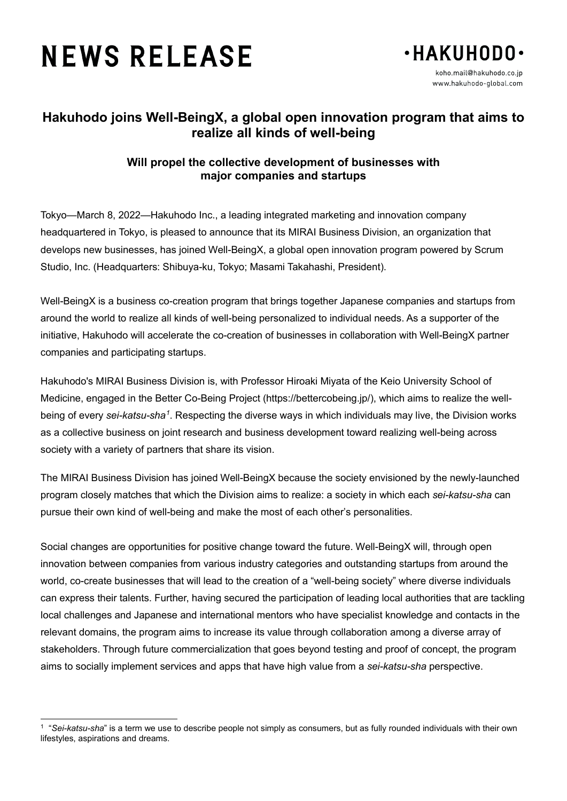# **NEWS RELEASE**



## **Hakuhodo joins Well-BeingX, a global open innovation program that aims to realize all kinds of well-being**

### **Will propel the collective development of businesses with major companies and startups**

Tokyo—March 8, 2022—Hakuhodo Inc., a leading integrated marketing and innovation company headquartered in Tokyo, is pleased to announce that its MIRAI Business Division, an organization that develops new businesses, has joined Well-BeingX, a global open innovation program powered by Scrum Studio, Inc. (Headquarters: Shibuya-ku, Tokyo; Masami Takahashi, President).

Well-BeingX is a business co-creation program that brings together Japanese companies and startups from around the world to realize all kinds of well-being personalized to individual needs. As a supporter of the initiative, Hakuhodo will accelerate the co-creation of businesses in collaboration with Well-BeingX partner companies and participating startups.

Hakuhodo's MIRAI Business Division is, with Professor Hiroaki Miyata of the Keio University School of Medicine, engaged in the Better Co-Being Project (https://bettercobeing.jp/), which aims to realize the wellbeing of every *sei-katsu-sha<sup>[1](#page-0-0)</sup>.* Respecting the diverse ways in which individuals may live, the Division works as a collective business on joint research and business development toward realizing well-being across society with a variety of partners that share its vision.

The MIRAI Business Division has joined Well-BeingX because the society envisioned by the newly-launched program closely matches that which the Division aims to realize: a society in which each *sei-katsu-sha* can pursue their own kind of well-being and make the most of each other's personalities.

Social changes are opportunities for positive change toward the future. Well-BeingX will, through open innovation between companies from various industry categories and outstanding startups from around the world, co-create businesses that will lead to the creation of a "well-being society" where diverse individuals can express their talents. Further, having secured the participation of leading local authorities that are tackling local challenges and Japanese and international mentors who have specialist knowledge and contacts in the relevant domains, the program aims to increase its value through collaboration among a diverse array of stakeholders. Through future commercialization that goes beyond testing and proof of concept, the program aims to socially implement services and apps that have high value from a *sei-katsu-sha* perspective.

<span id="page-0-0"></span> $\overline{a}$ <sup>1</sup> "*Sei-katsu-sha*" is a term we use to describe people not simply as consumers, but as fully rounded individuals with their own lifestyles, aspirations and dreams.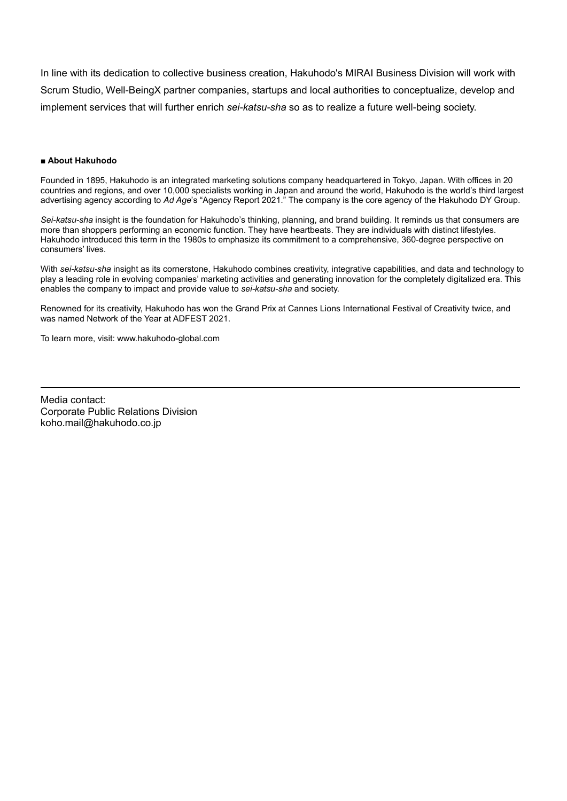In line with its dedication to collective business creation, Hakuhodo's MIRAI Business Division will work with Scrum Studio, Well-BeingX partner companies, startups and local authorities to conceptualize, develop and implement services that will further enrich *sei-katsu-sha* so as to realize a future well-being society.

#### ■ **About Hakuhodo**

Founded in 1895, Hakuhodo is an integrated marketing solutions company headquartered in Tokyo, Japan. With offices in 20 countries and regions, and over 10,000 specialists working in Japan and around the world, Hakuhodo is the world's third largest advertising agency according to *Ad Age*'s "Agency Report 2021." The company is the core agency of the Hakuhodo DY Group.

*Sei-katsu-sha* insight is the foundation for Hakuhodo's thinking, planning, and brand building. It reminds us that consumers are more than shoppers performing an economic function. They have heartbeats. They are individuals with distinct lifestyles. Hakuhodo introduced this term in the 1980s to emphasize its commitment to a comprehensive, 360-degree perspective on consumers' lives.

With *sei-katsu-sha* insight as its cornerstone, Hakuhodo combines creativity, integrative capabilities, and data and technology to play a leading role in evolving companies' marketing activities and generating innovation for the completely digitalized era. This enables the company to impact and provide value to *sei-katsu-sha* and society.

Renowned for its creativity, Hakuhodo has won the Grand Prix at Cannes Lions International Festival of Creativity twice, and was named Network of the Year at ADFEST 2021.

To learn more, visit: www.hakuhodo-global.com

Media contact: Corporate Public Relations Division koho.mail@hakuhodo.co.jp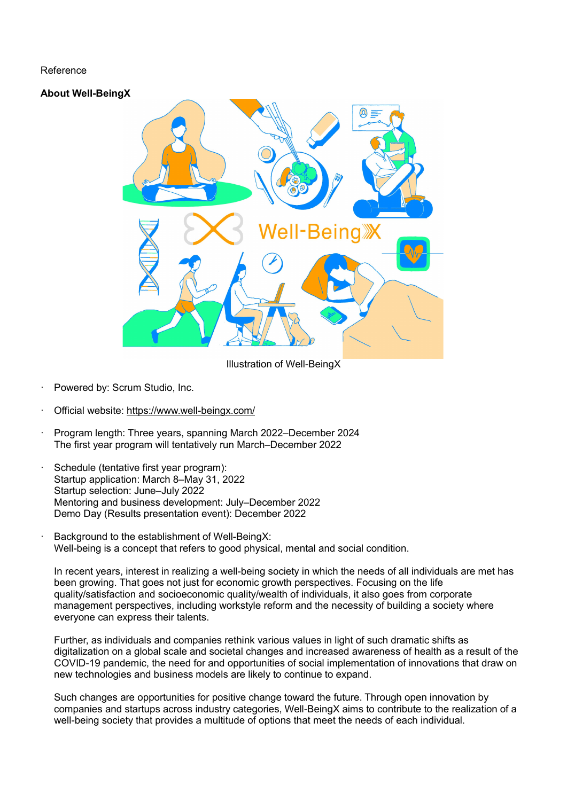#### Reference

#### **About Well-BeingX**



Illustration of Well-BeingX

- Powered by: Scrum Studio, Inc.
- Official website:<https://www.well-beingx.com/>
- · Program length: Three years, spanning March 2022–December 2024 The first year program will tentatively run March–December 2022
- Schedule (tentative first year program): Startup application: March 8–May 31, 2022 Startup selection: June–July 2022 Mentoring and business development: July–December 2022 Demo Day (Results presentation event): December 2022
- Background to the establishment of Well-BeingX: Well-being is a concept that refers to good physical, mental and social condition.

In recent years, interest in realizing a well-being society in which the needs of all individuals are met has been growing. That goes not just for economic growth perspectives. Focusing on the life quality/satisfaction and socioeconomic quality/wealth of individuals, it also goes from corporate management perspectives, including workstyle reform and the necessity of building a society where everyone can express their talents.

Further, as individuals and companies rethink various values in light of such dramatic shifts as digitalization on a global scale and societal changes and increased awareness of health as a result of the COVID-19 pandemic, the need for and opportunities of social implementation of innovations that draw on new technologies and business models are likely to continue to expand.

Such changes are opportunities for positive change toward the future. Through open innovation by companies and startups across industry categories, Well-BeingX aims to contribute to the realization of a well-being society that provides a multitude of options that meet the needs of each individual.